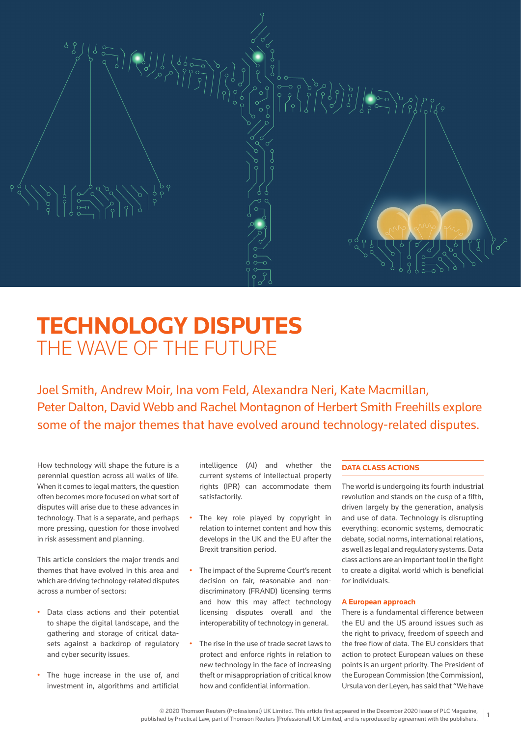

# **TECHNOLOGY DISPUTES**  THE WAVE OF THE FUTURE

Joel Smith, Andrew Moir, Ina vom Feld, Alexandra Neri, Kate Macmillan, Peter Dalton, David Webb and Rachel Montagnon of Herbert Smith Freehills explore some of the major themes that have evolved around technology-related disputes.

How technology will shape the future is a perennial question across all walks of life. When it comes to legal matters, the question often becomes more focused on what sort of disputes will arise due to these advances in technology. That is a separate, and perhaps more pressing, question for those involved in risk assessment and planning.

This article considers the major trends and themes that have evolved in this area and which are driving technology-related disputes across a number of sectors:

- Data class actions and their potential to shape the digital landscape, and the gathering and storage of critical datasets against a backdrop of regulatory and cyber security issues.
- The huge increase in the use of, and investment in, algorithms and artificial

intelligence (AI) and whether the current systems of intellectual property rights (IPR) can accommodate them satisfactorily.

- The key role played by copyright in relation to internet content and how this develops in the UK and the EU after the Brexit transition period.
- The impact of the Supreme Court's recent decision on fair, reasonable and nondiscriminatory (FRAND) licensing terms and how this may affect technology licensing disputes overall and the interoperability of technology in general.
- The rise in the use of trade secret laws to protect and enforce rights in relation to new technology in the face of increasing theft or misappropriation of critical know how and confidential information.

# **DATA CLASS ACTIONS**

The world is undergoing its fourth industrial revolution and stands on the cusp of a fifth, driven largely by the generation, analysis and use of data. Technology is disrupting everything: economic systems, democratic debate, social norms, international relations, as well as legal and regulatory systems. Data class actions are an important tool in the fight to create a digital world which is beneficial for individuals.

#### **A European approach**

There is a fundamental difference between the EU and the US around issues such as the right to privacy, freedom of speech and the free flow of data. The EU considers that action to protect European values on these points is an urgent priority. The President of the European Commission (the Commission), Ursula von der Leyen, has said that "We have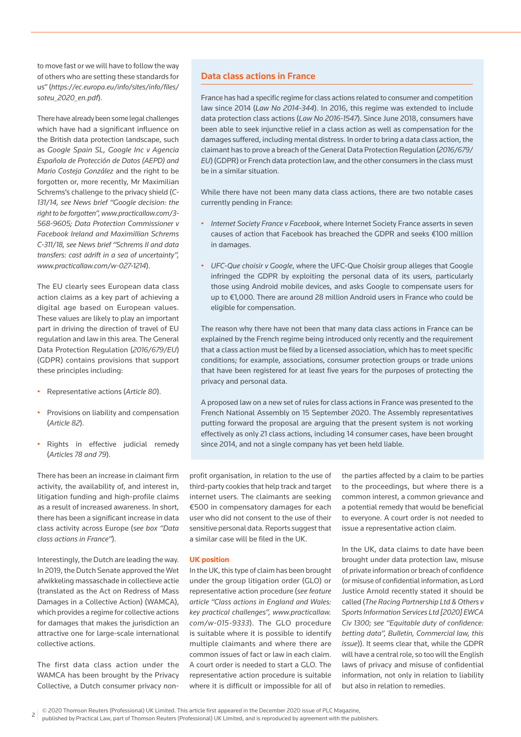to move fast or we will have to follow the way of others who are setting these standards for us" (*https://ec.europa.eu/info/sites/info/files/ soteu\_2020\_en.pdf*).

There have already been some legal challenges which have had a significant influence on the British data protection landscape, such as *Google Spain SL, Google Inc v Agencia Española de Protección de Datos (AEPD) and Mario Costeja González* and the right to be forgotten or, more recently, Mr Maximilian Schrems's challenge to the privacy shield (*C-131/14, see News brief "Google decision: the right to be forgotten", www.practicallaw.com/3- 568-9605; Data Protection Commissioner v Facebook Ireland and Maximillian Schrems C-311/18, see News brief "Schrems II and data transfers: cast adrift in a sea of uncertainty", www.practicallaw.com/w-027-1214*).

The EU clearly sees European data class action claims as a key part of achieving a digital age based on European values. These values are likely to play an important part in driving the direction of travel of EU regulation and law in this area. The General Data Protection Regulation (*2016/679/EU*) (GDPR) contains provisions that support these principles including:

- Representative actions (*Article 80*).
- Provisions on liability and compensation (*Article 82*).
- Rights in effective judicial remedy (*Articles 78 and 79*).

There has been an increase in claimant firm activity, the availability of, and interest in, litigation funding and high-profile claims as a result of increased awareness. In short, there has been a significant increase in data class activity across Europe (*see box "Data class actions in France"*).

Interestingly, the Dutch are leading the way. In 2019, the Dutch Senate approved the Wet afwikkeling massaschade in collectieve actie (translated as the Act on Redress of Mass Damages in a Collective Action) (WAMCA), which provides a regime for collective actions for damages that makes the jurisdiction an attractive one for large-scale international collective actions.

The first data class action under the WAMCA has been brought by the Privacy Collective, a Dutch consumer privacy non-

# Data class actions in France

France has had a specific regime for class actions related to consumer and competition law since 2014 (*Law No 2014-344*). In 2016, this regime was extended to include data protection class actions (*Law No 2016-1547*). Since June 2018, consumers have been able to seek injunctive relief in a class action as well as compensation for the damages suffered, including mental distress. In order to bring a data class action, the claimant has to prove a breach of the General Data Protection Regulation (*2016/679/ EU*) (GDPR) or French data protection law, and the other consumers in the class must be in a similar situation.

While there have not been many data class actions, there are two notable cases currently pending in France:

- *Internet Society France v Facebook*, where Internet Society France asserts in seven causes of action that Facebook has breached the GDPR and seeks €100 million in damages.
- *UFC-Que choisir v Google*, where the UFC-Que Choisir group alleges that Google infringed the GDPR by exploiting the personal data of its users, particularly those using Android mobile devices, and asks Google to compensate users for up to €1,000. There are around 28 million Android users in France who could be eligible for compensation.

The reason why there have not been that many data class actions in France can be explained by the French regime being introduced only recently and the requirement that a class action must be filed by a licensed association, which has to meet specific conditions; for example, associations, consumer protection groups or trade unions that have been registered for at least five years for the purposes of protecting the privacy and personal data.

A proposed law on a new set of rules for class actions in France was presented to the French National Assembly on 15 September 2020. The Assembly representatives putting forward the proposal are arguing that the present system is not working effectively as only 21 class actions, including 14 consumer cases, have been brought since 2014, and not a single company has yet been held liable.

profit organisation, in relation to the use of third-party cookies that help track and target internet users. The claimants are seeking €500 in compensatory damages for each user who did not consent to the use of their sensitive personal data. Reports suggest that a similar case will be filed in the UK.

# **UK position**

In the UK, this type of claim has been brought under the group litigation order (GLO) or representative action procedure (*see feature article "Class actions in England and Wales: key practical challenges", www.practicallaw. com/w-015-9333*). The GLO procedure is suitable where it is possible to identify multiple claimants and where there are common issues of fact or law in each claim. A court order is needed to start a GLO. The representative action procedure is suitable where it is difficult or impossible for all of

the parties affected by a claim to be parties to the proceedings, but where there is a common interest, a common grievance and a potential remedy that would be beneficial to everyone. A court order is not needed to issue a representative action claim.

In the UK, data claims to date have been brought under data protection law, misuse of private information or breach of confidence (or misuse of confidential information, as Lord Justice Arnold recently stated it should be called (*The Racing Partnership Ltd & Others v Sports Information Services Ltd [2020] EWCA Civ 1300; see "Equitable duty of confidence: betting data", Bulletin, Commercial law, this issue*)). It seems clear that, while the GDPR will have a central role, so too will the English laws of privacy and misuse of confidential information, not only in relation to liability but also in relation to remedies.

<sup>2</sup> © 2020 Thomson Reuters (Professional) UK Limited. This article first appeared in the December 2020 issue of PLC Magazine,

published by Practical Law, part of Thomson Reuters (Professional) UK Limited, and is reproduced by agreement with the publishers.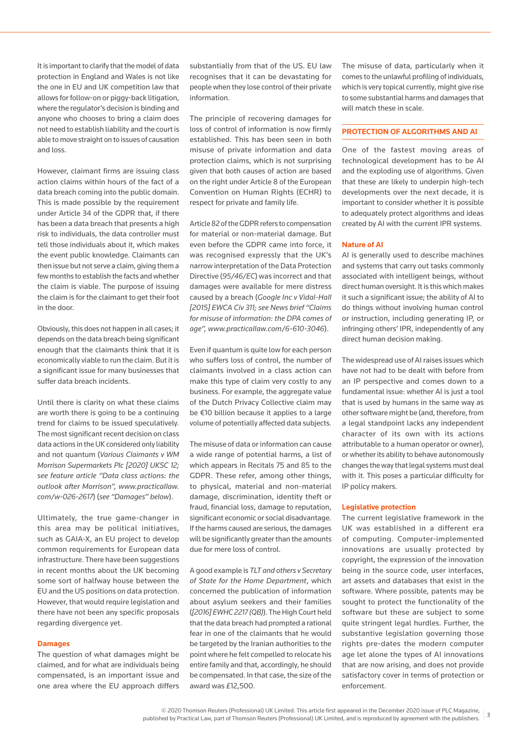It is important to clarify that the model of data protection in England and Wales is not like the one in EU and UK competition law that allows for follow-on or piggy-back litigation, where the regulator's decision is binding and anyone who chooses to bring a claim does not need to establish liability and the court is able to move straight on to issues of causation and loss.

However, claimant firms are issuing class action claims within hours of the fact of a data breach coming into the public domain. This is made possible by the requirement under Article 34 of the GDPR that, if there has been a data breach that presents a high risk to individuals, the data controller must tell those individuals about it, which makes the event public knowledge. Claimants can then issue but not serve a claim, giving them a few months to establish the facts and whether the claim is viable. The purpose of issuing the claim is for the claimant to get their foot in the door.

Obviously, this does not happen in all cases; it depends on the data breach being significant enough that the claimants think that it is economically viable to run the claim. But it is a significant issue for many businesses that suffer data breach incidents.

Until there is clarity on what these claims are worth there is going to be a continuing trend for claims to be issued speculatively. The most significant recent decision on class data actions in the UK considered only liability and not quantum (*Various Claimants v WM Morrison Supermarkets Plc [2020] UKSC 12; see feature article "Data class actions: the outlook after Morrison", www.practicallaw. com/w-026-2617*) (*see "Damages" below*).

Ultimately, the true game-changer in this area may be political initiatives, such as GAIA-X, an EU project to develop common requirements for European data infrastructure. There have been suggestions in recent months about the UK becoming some sort of halfway house between the EU and the US positions on data protection. However, that would require legislation and there have not been any specific proposals regarding divergence yet.

#### **Damages**

The question of what damages might be claimed, and for what are individuals being compensated, is an important issue and one area where the EU approach differs substantially from that of the US. EU law recognises that it can be devastating for people when they lose control of their private information.

The principle of recovering damages for loss of control of information is now firmly established. This has been seen in both misuse of private information and data protection claims, which is not surprising given that both causes of action are based on the right under Article 8 of the European Convention on Human Rights (ECHR) to respect for private and family life.

Article 82 of the GDPR refers to compensation for material or non-material damage. But even before the GDPR came into force, it was recognised expressly that the UK's narrow interpretation of the Data Protection Directive (*95/46/EC*) was incorrect and that damages were available for mere distress caused by a breach (*Google Inc v Vidal-Hall [2015] EWCA Civ 311; see News brief "Claims for misuse of information: the DPA comes of age", www.practicallaw.com/6-610-3046*).

Even if quantum is quite low for each person who suffers loss of control, the number of claimants involved in a class action can make this type of claim very costly to any business. For example, the aggregate value of the Dutch Privacy Collective claim may be €10 billion because it applies to a large volume of potentially affected data subjects.

The misuse of data or information can cause a wide range of potential harms, a list of which appears in Recitals 75 and 85 to the GDPR. These refer, among other things, to physical, material and non-material damage, discrimination, identity theft or fraud, financial loss, damage to reputation, significant economic or social disadvantage. If the harms caused are serious, the damages will be significantly greater than the amounts due for mere loss of control.

A good example is *TLT and others v Secretary of State for the Home Department*, which concerned the publication of information about asylum seekers and their families (*[2016] EWHC 2217 (QB)*). The High Court held that the data breach had prompted a rational fear in one of the claimants that he would be targeted by the Iranian authorities to the point where he felt compelled to relocate his entire family and that, accordingly, he should be compensated. In that case, the size of the award was £12,500.

The misuse of data, particularly when it comes to the unlawful profiling of individuals, which is very topical currently, might give rise to some substantial harms and damages that will match these in scale.

### **PROTECTION OF ALGORITHMS AND AI**

One of the fastest moving areas of technological development has to be AI and the exploding use of algorithms. Given that these are likely to underpin high-tech developments over the next decade, it is important to consider whether it is possible to adequately protect algorithms and ideas created by AI with the current IPR systems.

#### **Nature of AI**

AI is generally used to describe machines and systems that carry out tasks commonly associated with intelligent beings, without direct human oversight. It is this which makes it such a significant issue; the ability of AI to do things without involving human control or instruction, including generating IP, or infringing others' IPR, independently of any direct human decision making.

The widespread use of AI raises issues which have not had to be dealt with before from an IP perspective and comes down to a fundamental issue: whether AI is just a tool that is used by humans in the same way as other software might be (and, therefore, from a legal standpoint lacks any independent character of its own with its actions attributable to a human operator or owner), or whether its ability to behave autonomously changes the way that legal systems must deal with it. This poses a particular difficulty for IP policy makers.

# **Legislative protection**

The current legislative framework in the UK was established in a different era of computing. Computer-implemented innovations are usually protected by copyright, the expression of the innovation being in the source code, user interfaces, art assets and databases that exist in the software. Where possible, patents may be sought to protect the functionality of the software but these are subject to some quite stringent legal hurdles. Further, the substantive legislation governing those rights pre-dates the modern computer age let alone the types of AI innovations that are now arising, and does not provide satisfactory cover in terms of protection or enforcement.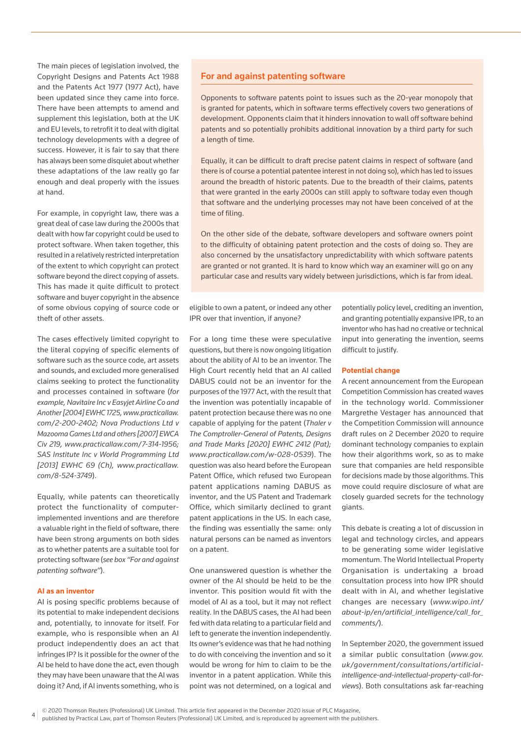The main pieces of legislation involved, the Copyright Designs and Patents Act 1988 and the Patents Act 1977 (1977 Act), have been updated since they came into force. There have been attempts to amend and supplement this legislation, both at the UK and EU levels, to retrofit it to deal with digital technology developments with a degree of success. However, it is fair to say that there has always been some disquiet about whether these adaptations of the law really go far enough and deal properly with the issues at hand.

For example, in copyright law, there was a great deal of case law during the 2000s that dealt with how far copyright could be used to protect software. When taken together, this resulted in a relatively restricted interpretation of the extent to which copyright can protect software beyond the direct copying of assets. This has made it quite difficult to protect software and buyer copyright in the absence of some obvious copying of source code or theft of other assets.

The cases effectively limited copyright to the literal copying of specific elements of software such as the source code, art assets and sounds, and excluded more generalised claims seeking to protect the functionality and processes contained in software (*for example, Navitaire Inc v Easyjet Airline Co and Another [2004] EWHC 1725, www.practicallaw. com/2-200-2402; Nova Productions Ltd v Mazooma Games Ltd and others [2007] EWCA Civ 219, www.practicallaw.com/7-314-1956; SAS Institute Inc v World Programming Ltd [2013] EWHC 69 (Ch), www.practicallaw. com/8-524-3749*).

Equally, while patents can theoretically protect the functionality of computerimplemented inventions and are therefore a valuable right in the field of software, there have been strong arguments on both sides as to whether patents are a suitable tool for protecting software (*see box "For and against patenting software"*).

## **AI as an inventor**

AI is posing specific problems because of its potential to make independent decisions and, potentially, to innovate for itself. For example, who is responsible when an AI product independently does an act that infringes IP? Is it possible for the owner of the AI be held to have done the act, even though they may have been unaware that the AI was doing it? And, if AI invents something, who is

# For and against patenting software

Opponents to software patents point to issues such as the 20-year monopoly that is granted for patents, which in software terms effectively covers two generations of development. Opponents claim that it hinders innovation to wall off software behind patents and so potentially prohibits additional innovation by a third party for such a length of time.

Equally, it can be difficult to draft precise patent claims in respect of software (and there is of course a potential patentee interest in not doing so), which has led to issues around the breadth of historic patents. Due to the breadth of their claims, patents that were granted in the early 2000s can still apply to software today even though that software and the underlying processes may not have been conceived of at the time of filing.

On the other side of the debate, software developers and software owners point to the difficulty of obtaining patent protection and the costs of doing so. They are also concerned by the unsatisfactory unpredictability with which software patents are granted or not granted. It is hard to know which way an examiner will go on any particular case and results vary widely between jurisdictions, which is far from ideal.

eligible to own a patent, or indeed any other IPR over that invention, if anyone?

For a long time these were speculative questions, but there is now ongoing litigation about the ability of AI to be an inventor. The High Court recently held that an AI called DABUS could not be an inventor for the purposes of the 1977 Act, with the result that the invention was potentially incapable of patent protection because there was no one capable of applying for the patent (*Thaler v The Comptroller-General of Patents, Designs and Trade Marks [2020] EWHC 2412 (Pat); www.practicallaw.com/w-028-0539*). The question was also heard before the European Patent Office, which refused two European patent applications naming DABUS as inventor, and the US Patent and Trademark Office, which similarly declined to grant patent applications in the US. In each case, the finding was essentially the same: only natural persons can be named as inventors on a patent.

One unanswered question is whether the owner of the AI should be held to be the inventor. This position would fit with the model of AI as a tool, but it may not reflect reality. In the DABUS cases, the AI had been fed with data relating to a particular field and left to generate the invention independently. Its owner's evidence was that he had nothing to do with conceiving the invention and so it would be wrong for him to claim to be the inventor in a patent application. While this point was not determined, on a logical and

potentially policy level, crediting an invention, and granting potentially expansive IPR, to an inventor who has had no creative or technical input into generating the invention, seems difficult to justify.

#### **Potential change**

A recent announcement from the European Competition Commission has created waves in the technology world. Commissioner Margrethe Vestager has announced that the Competition Commission will announce draft rules on 2 December 2020 to require dominant technology companies to explain how their algorithms work, so as to make sure that companies are held responsible for decisions made by those algorithms. This move could require disclosure of what are closely guarded secrets for the technology giants.

This debate is creating a lot of discussion in legal and technology circles, and appears to be generating some wider legislative momentum. The World Intellectual Property Organisation is undertaking a broad consultation process into how IPR should dealt with in AI, and whether legislative changes are necessary (*www.wipo.int/ about-ip/en/artificial\_intelligence/call\_for\_ comments/*).

In September 2020, the government issued a similar public consultation (*www.gov. uk/government/consultations/artificialintelligence-and-intellectual-property-call-forviews*). Both consultations ask far-reaching

<sup>© 2020</sup> Thomson Reuters (Professional) UK Limited. This article first appeared in the December 2020 issue of PLC Magazine, 4

published by Practical Law, part of Thomson Reuters (Professional) UK Limited, and is reproduced by agreement with the publishers.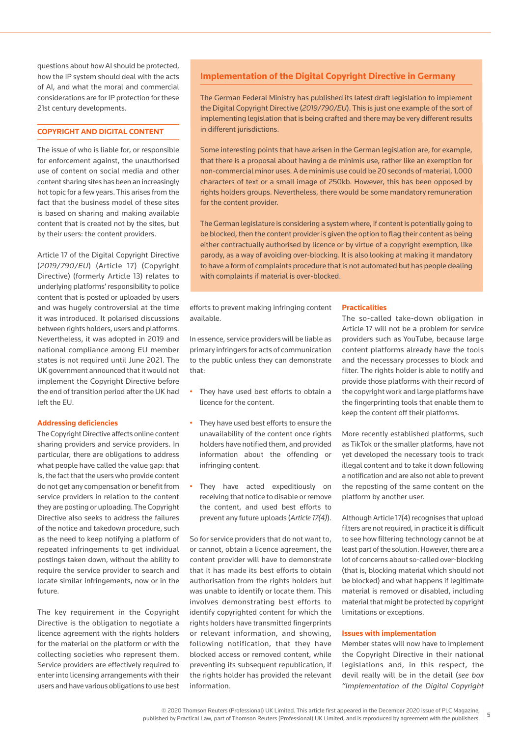questions about how AI should be protected, how the IP system should deal with the acts of AI, and what the moral and commercial considerations are for IP protection for these 21st century developments.

# **COPYRIGHT AND DIGITAL CONTENT**

The issue of who is liable for, or responsible for enforcement against, the unauthorised use of content on social media and other content sharing sites has been an increasingly hot topic for a few years. This arises from the fact that the business model of these sites is based on sharing and making available content that is created not by the sites, but by their users: the content providers.

Article 17 of the Digital Copyright Directive (*2019/790/EU*) (Article 17) (Copyright Directive) (formerly Article 13) relates to underlying platforms' responsibility to police content that is posted or uploaded by users and was hugely controversial at the time it was introduced. It polarised discussions between rights holders, users and platforms. Nevertheless, it was adopted in 2019 and national compliance among EU member states is not required until June 2021. The UK government announced that it would not implement the Copyright Directive before the end of transition period after the UK had left the EU.

# **Addressing deficiencies**

The Copyright Directive affects online content sharing providers and service providers. In particular, there are obligations to address what people have called the value gap: that is, the fact that the users who provide content do not get any compensation or benefit from service providers in relation to the content they are posting or uploading. The Copyright Directive also seeks to address the failures of the notice and takedown procedure, such as the need to keep notifying a platform of repeated infringements to get individual postings taken down, without the ability to require the service provider to search and locate similar infringements, now or in the future.

The key requirement in the Copyright Directive is the obligation to negotiate a licence agreement with the rights holders for the material on the platform or with the collecting societies who represent them. Service providers are effectively required to enter into licensing arrangements with their users and have various obligations to use best

# **Implementation of the Digital Copyright Directive in Germany**

The German Federal Ministry has published its latest draft legislation to implement the Digital Copyright Directive (*2019/790/EU*). This is just one example of the sort of implementing legislation that is being crafted and there may be very different results in different jurisdictions.

Some interesting points that have arisen in the German legislation are, for example, that there is a proposal about having a de minimis use, rather like an exemption for non-commercial minor uses. A de minimis use could be 20 seconds of material, 1,000 characters of text or a small image of 250kb. However, this has been opposed by rights holders groups. Nevertheless, there would be some mandatory remuneration for the content provider.

The German legislature is considering a system where, if content is potentially going to be blocked, then the content provider is given the option to flag their content as being either contractually authorised by licence or by virtue of a copyright exemption, like parody, as a way of avoiding over-blocking. It is also looking at making it mandatory to have a form of complaints procedure that is not automated but has people dealing with complaints if material is over-blocked.

efforts to prevent making infringing content available.

In essence, service providers will be liable as primary infringers for acts of communication to the public unless they can demonstrate that:

- They have used best efforts to obtain a licence for the content.
- They have used best efforts to ensure the unavailability of the content once rights holders have notified them, and provided information about the offending or infringing content.
- They have acted expeditiously on receiving that notice to disable or remove the content, and used best efforts to prevent any future uploads (*Article 17(4)*).

So for service providers that do not want to, or cannot, obtain a licence agreement, the content provider will have to demonstrate that it has made its best efforts to obtain authorisation from the rights holders but was unable to identify or locate them. This involves demonstrating best efforts to identify copyrighted content for which the rights holders have transmitted fingerprints or relevant information, and showing, following notification, that they have blocked access or removed content, while preventing its subsequent republication, if the rights holder has provided the relevant information.

## **Practicalities**

The so-called take-down obligation in Article 17 will not be a problem for service providers such as YouTube, because large content platforms already have the tools and the necessary processes to block and filter. The rights holder is able to notify and provide those platforms with their record of the copyright work and large platforms have the fingerprinting tools that enable them to keep the content off their platforms.

More recently established platforms, such as TikTok or the smaller platforms, have not yet developed the necessary tools to track illegal content and to take it down following a notification and are also not able to prevent the reposting of the same content on the platform by another user.

Although Article 17(4) recognises that upload filters are not required, in practice it is difficult to see how filtering technology cannot be at least part of the solution. However, there are a lot of concerns about so-called over-blocking (that is, blocking material which should not be blocked) and what happens if legitimate material is removed or disabled, including material that might be protected by copyright limitations or exceptions.

#### **Issues with implementation**

Member states will now have to implement the Copyright Directive in their national legislations and, in this respect, the devil really will be in the detail (*see box "Implementation of the Digital Copyright*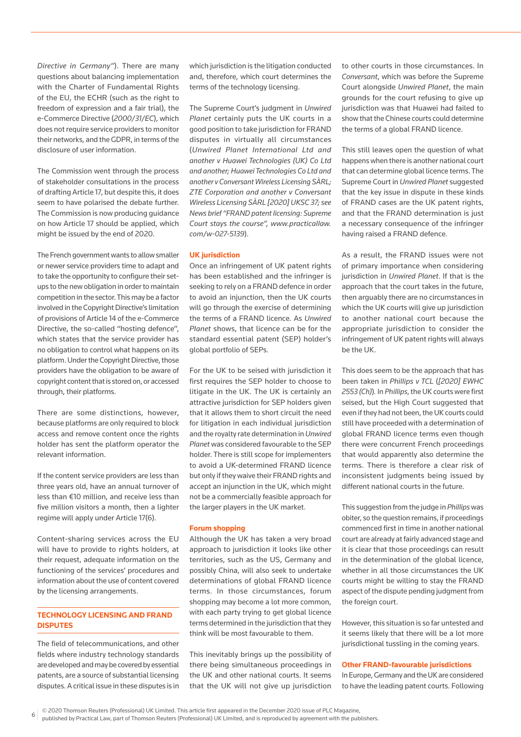*Directive in Germany"*). There are many questions about balancing implementation with the Charter of Fundamental Rights of the EU, the ECHR (such as the right to freedom of expression and a fair trial), the e-Commerce Directive (*2000/31/EC*), which does not require service providers to monitor their networks, and the GDPR, in terms of the disclosure of user information.

The Commission went through the process of stakeholder consultations in the process of drafting Article 17, but despite this, it does seem to have polarised the debate further. The Commission is now producing guidance on how Article 17 should be applied, which might be issued by the end of 2020.

The French government wants to allow smaller or newer service providers time to adapt and to take the opportunity to configure their setups to the new obligation in order to maintain competition in the sector. This may be a factor involved in the Copyright Directive's limitation of provisions of Article 14 of the e-Commerce Directive, the so-called "hosting defence", which states that the service provider has no obligation to control what happens on its platform. Under the Copyright Directive, those providers have the obligation to be aware of copyright content that is stored on, or accessed through, their platforms.

There are some distinctions, however, because platforms are only required to block access and remove content once the rights holder has sent the platform operator the relevant information.

If the content service providers are less than three years old, have an annual turnover of less than €10 million, and receive less than five million visitors a month, then a lighter regime will apply under Article 17(6).

Content-sharing services across the EU will have to provide to rights holders, at their request, adequate information on the functioning of the services' procedures and information about the use of content covered by the licensing arrangements.

# **TECHNOLOGY LICENSING AND FRAND DISPUTES**

The field of telecommunications, and other fields where industry technology standards are developed and may be covered by essential patents, are a source of substantial licensing disputes. A critical issue in these disputes is in which jurisdiction is the litigation conducted and, therefore, which court determines the terms of the technology licensing.

The Supreme Court's judgment in *Unwired Planet* certainly puts the UK courts in a good position to take jurisdiction for FRAND disputes in virtually all circumstances (*Unwired Planet International Ltd and another v Huawei Technologies (UK) Co Ltd and another; Huawei Technologies Co Ltd and another v Conversant Wireless Licensing SÀRL; ZTE Corporation and another v Conversant Wireless Licensing SÀRL [2020] UKSC 37; see News brief "FRAND patent licensing: Supreme Court stays the course", www.practicallaw. com/w-027-5139*).

# **UK jurisdiction**

Once an infringement of UK patent rights has been established and the infringer is seeking to rely on a FRAND defence in order to avoid an injunction, then the UK courts will go through the exercise of determining the terms of a FRAND licence. As *Unwired Planet* shows, that licence can be for the standard essential patent (SEP) holder's global portfolio of SEPs.

For the UK to be seised with jurisdiction it first requires the SEP holder to choose to litigate in the UK. The UK is certainly an attractive jurisdiction for SEP holders given that it allows them to short circuit the need for litigation in each individual jurisdiction and the royalty rate determination in *Unwired Planet* was considered favourable to the SEP holder. There is still scope for implementers to avoid a UK-determined FRAND licence but only if they waive their FRAND rights and accept an injunction in the UK, which might not be a commercially feasible approach for the larger players in the UK market.

## **Forum shopping**

Although the UK has taken a very broad approach to jurisdiction it looks like other territories, such as the US, Germany and possibly China, will also seek to undertake determinations of global FRAND licence terms. In those circumstances, forum shopping may become a lot more common, with each party trying to get global licence terms determined in the jurisdiction that they think will be most favourable to them.

This inevitably brings up the possibility of there being simultaneous proceedings in the UK and other national courts. It seems that the UK will not give up jurisdiction

to other courts in those circumstances. In *Conversant*, which was before the Supreme Court alongside *Unwired Planet*, the main grounds for the court refusing to give up jurisdiction was that Huawei had failed to show that the Chinese courts could determine the terms of a global FRAND licence.

This still leaves open the question of what happens when there is another national court that can determine global licence terms. The Supreme Court in *Unwired Planet* suggested that the key issue in dispute in these kinds of FRAND cases are the UK patent rights, and that the FRAND determination is just a necessary consequence of the infringer having raised a FRAND defence.

As a result, the FRAND issues were not of primary importance when considering jurisdiction in *Unwired Planet*. If that is the approach that the court takes in the future, then arguably there are no circumstances in which the UK courts will give up jurisdiction to another national court because the appropriate jurisdiction to consider the infringement of UK patent rights will always be the UK.

This does seem to be the approach that has been taken in *Phillips v TCL* (*[2020] EWHC 2553 (Ch)*)*.* In *Phillips*, the UK courts were first seised, but the High Court suggested that even if they had not been, the UK courts could still have proceeded with a determination of global FRAND licence terms even though there were concurrent French proceedings that would apparently also determine the terms. There is therefore a clear risk of inconsistent judgments being issued by different national courts in the future.

This suggestion from the judge in *Phillips* was obiter, so the question remains, if proceedings commenced first in time in another national court are already at fairly advanced stage and it is clear that those proceedings can result in the determination of the global licence, whether in all those circumstances the UK courts might be willing to stay the FRAND aspect of the dispute pending judgment from the foreign court.

However, this situation is so far untested and it seems likely that there will be a lot more jurisdictional tussling in the coming years.

# **Other FRAND-favourable jurisdictions**

In Europe, Germany and the UK are considered to have the leading patent courts. Following

<sup>6</sup> © 2020 Thomson Reuters (Professional) UK Limited. This article first appeared in the December 2020 issue of PLC Magazine,

published by Practical Law, part of Thomson Reuters (Professional) UK Limited, and is reproduced by agreement with the publishers.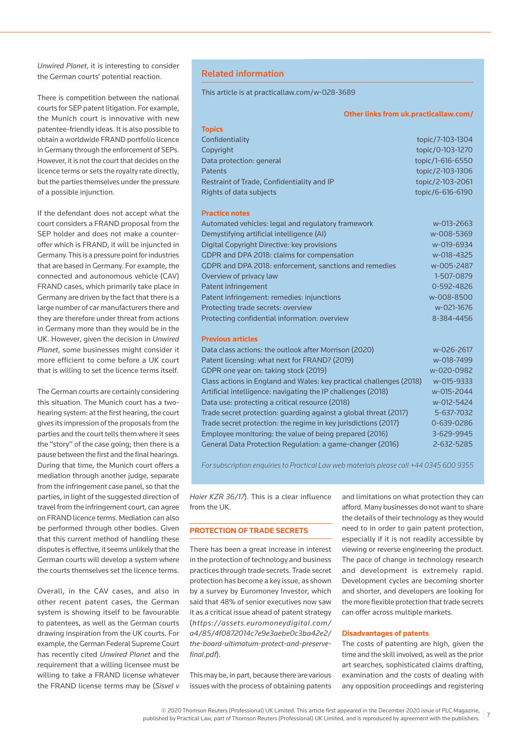*Unwired Planet*, it is interesting to consider the German courts' potential reaction.

There is competition between the national courts for SEP patent litigation. For example, the Munich court is innovative with new patentee-friendly ideas. It is also possible to obtain a worldwide FRAND portfolio licence in Germany through the enforcement of SEPs. However, it is not the court that decides on the licence terms or sets the royalty rate directly, but the parties themselves under the pressure of a possible injunction.

If the defendant does not accept what the court considers a FRAND proposal from the SEP holder and does not make a counteroffer which is FRAND, it will be injuncted in Germany. This is a pressure point for industries that are based in Germany. For example, the connected and autonomous vehicle (CAV) FRAND cases, which primarily take place in Germany are driven by the fact that there is a large number of car manufacturers there and they are therefore under threat from actions in Germany more than they would be in the UK. However, given the decision in *Unwired Planet*, some businesses might consider it more efficient to come before a UK court that is willing to set the licence terms itself.

The German courts are certainly considering this situation. The Munich court has a twohearing system: at the first hearing, the court gives its impression of the proposals from the parties and the court tells them where it sees the "story" of the case going; then there is a pause between the first and the final hearings. During that time, the Munich court offers a mediation through another judge, separate from the infringement case panel, so that the parties, in light of the suggested direction of travel from the infringement court, can agree on FRAND licence terms. Mediation can also be performed through other bodies. Given that this current method of handling these disputes is effective, it seems unlikely that the German courts will develop a system where the courts themselves set the licence terms.

Overall, in the CAV cases, and also in other recent patent cases, the German system is showing itself to be favourable to patentees, as well as the German courts drawing inspiration from the UK courts. For example, the German Federal Supreme Court has recently cited *Unwired Planet* and the requirement that a willing licensee must be willing to take a FRAND license whatever the FRAND license terms may be (*Sisvel v* 

# Related information

This article is at practicallaw.com/w-028-3689

#### **Other links from uk.practicallaw.com/**

| <b>Topics</b>                              |                  |
|--------------------------------------------|------------------|
| Confidentiality                            | topic/7-103-1304 |
| Copyright                                  | topic/0-103-1270 |
| Data protection: general                   | topic/1-616-6550 |
| <b>Patents</b>                             | topic/2-103-1306 |
| Restraint of Trade, Confidentiality and IP | topic/2-103-2061 |
| Rights of data subjects                    | topic/6-616-6190 |
|                                            |                  |

## **Practice notes**

| Automated vehicles: legal and regulatory framework     | w-013-2663 |
|--------------------------------------------------------|------------|
| Demystifying artificial intelligence (AI)              | w-008-5369 |
| Digital Copyright Directive: key provisions            | w-019-6934 |
| GDPR and DPA 2018: claims for compensation             | w-018-4325 |
| GDPR and DPA 2018: enforcement, sanctions and remedies | w-005-2487 |
| Overview of privacy law                                | 1-507-0879 |
| Patent infringement                                    | 0-592-4826 |
| Patent infringement: remedies: injunctions             | w-008-8500 |
| Protecting trade secrets: overview                     | w-021-1676 |
| Protecting confidential information: overview          | 8-384-4456 |

## **Previous articles**

| Data class actions: the outlook after Morrison (2020)               | w-026-2617 |
|---------------------------------------------------------------------|------------|
| Patent licensing: what next for FRAND? (2019)                       | w-018-7499 |
| GDPR one year on: taking stock (2019)                               | w-020-0982 |
| Class actions in England and Wales: key practical challenges (2018) | w-015-9333 |
| Artificial intelligence: navigating the IP challenges (2018)        | w-015-2044 |
| Data use: protecting a critical resource (2018)                     | w-012-5424 |
| Trade secret protection: quarding against a global threat (2017)    | 5-637-7032 |
| Trade secret protection: the regime in key jurisdictions (2017)     | 0-639-0286 |
| Employee monitoring: the value of being prepared (2016)             | 3-629-9945 |
| General Data Protection Regulation: a game-changer (2016)           | 2-632-5285 |
|                                                                     |            |

*For subscription enquiries to Practical Law web materials please call +44 0345 600 9355*

*Haier KZR 36/17*). This is a clear influence from the UK.

# **PROTECTION OF TRADE SECRETS**

There has been a great increase in interest in the protection of technology and business practices through trade secrets. Trade secret protection has become a key issue, as shown by a survey by Euromoney Investor, which said that 48% of senior executives now saw it as a critical issue ahead of patent strategy (*https://assets.euromoneydigital.com/ a4/85/4f0872014c7e9e3aebe0c3ba42e2/ the-board-ultimatum-protect-and-preservefinal.pdf*).

This may be, in part, because there are various issues with the process of obtaining patents

and limitations on what protection they can afford. Many businesses do not want to share the details of their technology as they would need to in order to gain patent protection, especially if it is not readily accessible by viewing or reverse engineering the product. The pace of change in technology research and development is extremely rapid. Development cycles are becoming shorter and shorter, and developers are looking for the more flexible protection that trade secrets can offer across multiple markets.

## **Disadvantages of patents**

The costs of patenting are high, given the time and the skill involved, as well as the prior art searches, sophisticated claims drafting, examination and the costs of dealing with any opposition proceedings and registering